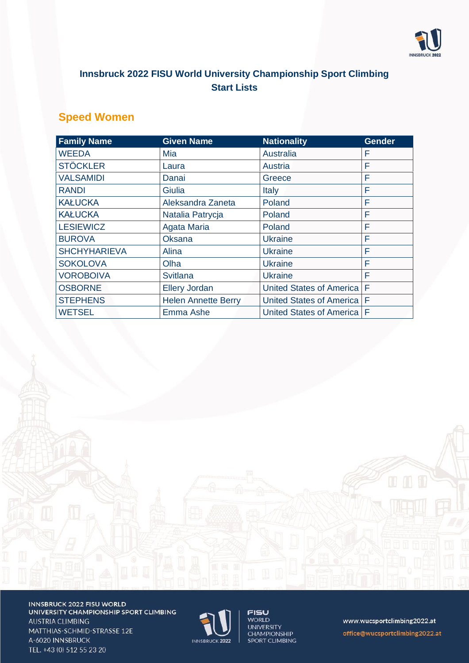

## **Innsbruck 2022 FISU World University Championship Sport Climbing Start Lists**

## **Speed Women**

| <b>Family Name</b>  | <b>Given Name</b>          | <b>Nationality</b>       | <b>Gender</b> |
|---------------------|----------------------------|--------------------------|---------------|
| <b>WEEDA</b>        | Mia                        | <b>Australia</b>         | F             |
| <b>STÖCKLER</b>     | Laura                      | Austria                  | F             |
| <b>VALSAMIDI</b>    | Danai                      | Greece                   | F             |
| <b>RANDI</b>        | Giulia                     | Italy                    | F             |
| <b>KAŁUCKA</b>      | Aleksandra Zaneta          | Poland                   | F             |
| <b>KAŁUCKA</b>      | Natalia Patrycja           | Poland                   | F             |
| <b>LESIEWICZ</b>    | Agata Maria                | Poland                   | F             |
| <b>BUROVA</b>       | <b>Oksana</b>              | <b>Ukraine</b>           | F             |
| <b>SHCHYHARIEVA</b> | Alina                      | <b>Ukraine</b>           | F             |
| <b>SOKOLOVA</b>     | Olha                       | <b>Ukraine</b>           | F             |
| <b>VOROBOIVA</b>    | <b>Svitlana</b>            | <b>Ukraine</b>           | F             |
| <b>OSBORNE</b>      | <b>Ellery Jordan</b>       | United States of America | F             |
| <b>STEPHENS</b>     | <b>Helen Annette Berry</b> | United States of America | F             |
| <b>WETSEL</b>       | Emma Ashe                  | United States of America | F             |

INNSBRUCK 2022 FISU WORLD UNIVERSITY CHAMPIONSHIP SPORT CLIMBING **AUSTRIA CLIMBING** MATTHIAS-SCHMID-STRASSE 12E A-6020 INNSBRUCK TEL. +43 (0) 512 55 23 20



**FISU PIBU<br>WORLD<br>UNIVERSITY<br>CHAMPIONSHIP<br>SPORT CLIMBING**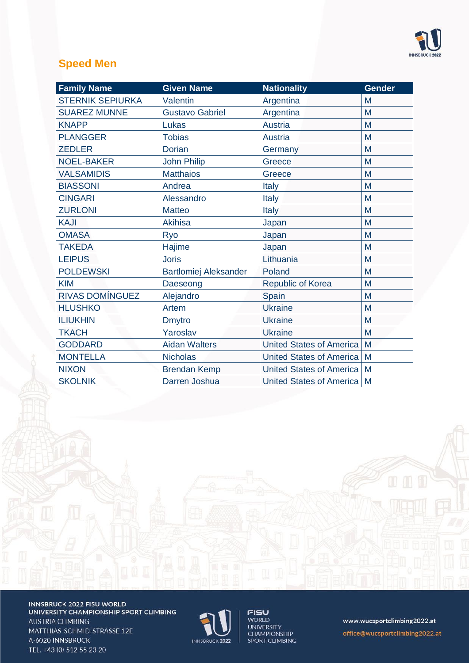

# **Speed Men**

| <b>Family Name</b>      | <b>Given Name</b>            | <b>Nationality</b>              | <b>Gender</b> |
|-------------------------|------------------------------|---------------------------------|---------------|
| <b>STERNIK SEPIURKA</b> | Valentin                     | Argentina                       | M             |
| <b>SUAREZ MUNNE</b>     | <b>Gustavo Gabriel</b>       | Argentina                       | M             |
| <b>KNAPP</b>            | Lukas                        | <b>Austria</b>                  | M             |
| <b>PLANGGER</b>         | <b>Tobias</b>                | <b>Austria</b>                  | M             |
| <b>ZEDLER</b>           | <b>Dorian</b>                | Germany                         | M             |
| <b>NOEL-BAKER</b>       | <b>John Philip</b>           | Greece                          | M             |
| <b>VALSAMIDIS</b>       | <b>Matthaios</b>             | Greece                          | M             |
| <b>BIASSONI</b>         | Andrea                       | <b>Italy</b>                    | M             |
| <b>CINGARI</b>          | Alessandro                   | <b>Italy</b>                    | M             |
| <b>ZURLONI</b>          | <b>Matteo</b>                | Italy                           | M             |
| <b>KAJI</b>             | <b>Akihisa</b>               | Japan                           | M             |
| <b>OMASA</b>            | Ryo                          | Japan                           | M             |
| <b>TAKEDA</b>           | Hajime                       | Japan                           | M             |
| <b>LEIPUS</b>           | <b>Joris</b>                 | Lithuania                       | M             |
| <b>POLDEWSKI</b>        | <b>Bartlomiej Aleksander</b> | Poland                          | M             |
| <b>KIM</b>              | Daeseong                     | Republic of Korea               | M             |
| <b>RIVAS DOMÍNGUEZ</b>  | Alejandro                    | Spain                           | M             |
| <b>HLUSHKO</b>          | <b>Artem</b>                 | <b>Ukraine</b>                  | M             |
| <b>ILIUKHIN</b>         | <b>Dmytro</b>                | <b>Ukraine</b>                  | M             |
| <b>TKACH</b>            | Yaroslav                     | <b>Ukraine</b>                  | M             |
| <b>GODDARD</b>          | <b>Aidan Walters</b>         | <b>United States of America</b> | M             |
| <b>MONTELLA</b>         | <b>Nicholas</b>              | <b>United States of America</b> | M             |
| <b>NIXON</b>            | <b>Brendan Kemp</b>          | <b>United States of America</b> | M             |
| <b>SKOLNIK</b>          | Darren Joshua                | United States of America        | M             |

INNSBRUCK 2022 FISU WORLD UNIVERSITY CHAMPIONSHIP SPORT CLIMBING **AUSTRIA CLIMBING** MATTHIAS-SCHMID-STRASSE 12E A-6020 INNSBRUCK TEL. +43 (0) 512 55 23 20



**FISU PIBU<br>WORLD<br>UNIVERSITY<br>CHAMPIONSHIP<br>SPORT CLIMBING**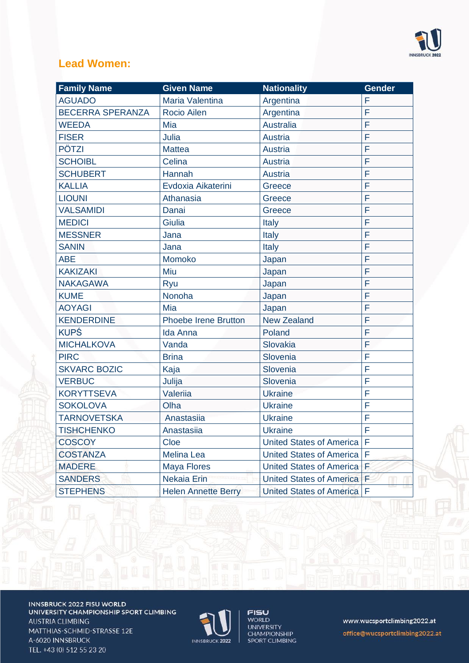

#### **Lead Women:**

| <b>Family Name</b>      | <b>Given Name</b>           | <b>Nationality</b>              | <b>Gender</b> |
|-------------------------|-----------------------------|---------------------------------|---------------|
| <b>AGUADO</b>           | Maria Valentina             | Argentina                       | F             |
| <b>BECERRA SPERANZA</b> | Rocio Ailen                 | Argentina                       | F             |
| <b>WEEDA</b>            | Mia                         | <b>Australia</b>                | Ë             |
| <b>FISER</b>            | Julia                       | <b>Austria</b>                  | F             |
| <b>PÖTZI</b>            | <b>Mattea</b>               | <b>Austria</b>                  | Ë             |
| <b>SCHOIBL</b>          | Celina                      | <b>Austria</b>                  | F             |
| <b>SCHUBERT</b>         | Hannah                      | <b>Austria</b>                  | F             |
| <b>KALLIA</b>           | Evdoxia Aikaterini          | Greece                          | F             |
| <b>LIOUNI</b>           | Athanasia                   | Greece                          | F             |
| <b>VALSAMIDI</b>        | Danai                       | Greece                          | F             |
| <b>MEDICI</b>           | Giulia                      | Italy                           | F             |
| <b>MESSNER</b>          | Jana                        | Italy                           | F             |
| <b>SANIN</b>            | Jana                        | Italy                           | F             |
| <b>ABE</b>              | Momoko                      | Japan                           | F             |
| <b>KAKIZAKI</b>         | Miu                         | Japan                           | F             |
| <b>NAKAGAWA</b>         | Ryu                         | Japan                           | F             |
| <b>KUME</b>             | Nonoha                      | Japan                           | F             |
| <b>AOYAGI</b>           | Mia                         | Japan                           | F             |
| <b>KENDERDINE</b>       | <b>Phoebe Irene Brutton</b> | <b>New Zealand</b>              | F             |
| <b>KUPŚ</b>             | <b>Ida Anna</b>             | Poland                          | F             |
| <b>MICHALKOVA</b>       | Vanda                       | Slovakia                        | F             |
| <b>PIRC</b>             | <b>Brina</b>                | Slovenia                        | F             |
| <b>SKVARC BOZIC</b>     | Kaja                        | Slovenia                        | F             |
| <b>VERBUC</b>           | Julija                      | Slovenia                        | F             |
| <b>KORYTTSEVA</b>       | Valeriia                    | <b>Ukraine</b>                  | F             |
| <b>SOKOLOVA</b>         | Olha                        | <b>Ukraine</b>                  | F             |
| <b>TARNOVETSKA</b>      | Anastasiia                  | <b>Ukraine</b>                  | F             |
| <b>TISHCHENKO</b>       | Anastasiia                  | <b>Ukraine</b>                  | F             |
| <b>COSCOY</b>           | Cloe                        | <b>United States of America</b> | F             |
| <b>COSTANZA</b>         | <b>Melina Lea</b>           | <b>United States of America</b> | F             |
| <b>MADERE</b>           | <b>Maya Flores</b>          | <b>United States of America</b> | F             |
| <b>SANDERS</b>          | <b>Nekaia Erin</b>          | <b>United States of America</b> | F             |
| <b>STEPHENS</b>         | <b>Helen Annette Berry</b>  | <b>United States of America</b> | F             |

INNSBRUCK 2022 FISU WORLD UNIVERSITY CHAMPIONSHIP SPORT CLIMBING **AUSTRIA CLIMBING** MATTHIAS-SCHMID-STRASSE 12E A-6020 INNSBRUCK TEL. +43 (0) 512 55 23 20



**FISU PIBU<br>WORLD<br>UNIVERSITY<br>CHAMPIONSHIP<br>SPORT CLIMBING**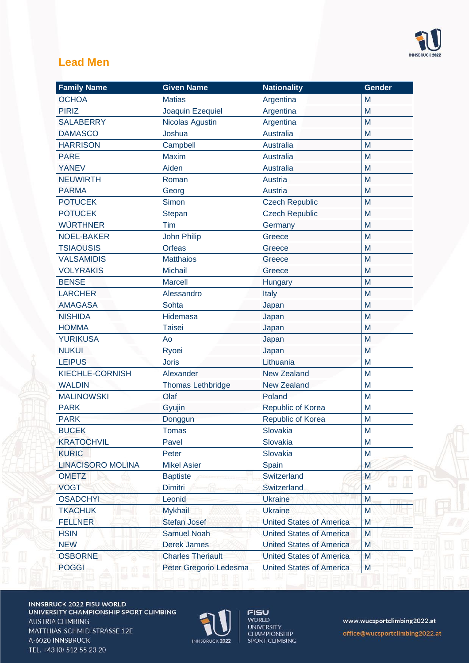

## **Lead Men**

| <b>Family Name</b>       | <b>Given Name</b>        | <b>Nationality</b>              | Gender |
|--------------------------|--------------------------|---------------------------------|--------|
| <b>OCHOA</b>             | <b>Matias</b>            | Argentina                       | M      |
| <b>PIRIZ</b>             | Joaquin Ezequiel         | Argentina                       | M      |
| <b>SALABERRY</b>         | Nicolas Agustin          | Argentina                       | M      |
| <b>DAMASCO</b>           | Joshua                   | <b>Australia</b>                | M      |
| <b>HARRISON</b>          | Campbell                 | <b>Australia</b>                | M      |
| <b>PARE</b>              | <b>Maxim</b>             | <b>Australia</b>                | M      |
| <b>YANEV</b>             | Aiden                    | <b>Australia</b>                | M      |
| <b>NEUWIRTH</b>          | Roman                    | Austria                         | M      |
| <b>PARMA</b>             | Georg                    | <b>Austria</b>                  | M      |
| <b>POTUCEK</b>           | Simon                    | <b>Czech Republic</b>           | M      |
| <b>POTUCEK</b>           | <b>Stepan</b>            | <b>Czech Republic</b>           | M      |
| <b>WÜRTHNER</b>          | Tim                      | Germany                         | M      |
| <b>NOEL-BAKER</b>        | <b>John Philip</b>       | Greece                          | M      |
| <b>TSIAOUSIS</b>         | <b>Orfeas</b>            | Greece                          | M      |
| <b>VALSAMIDIS</b>        | <b>Matthaios</b>         | Greece                          | M      |
| <b>VOLYRAKIS</b>         | Michail                  | Greece                          | M      |
| <b>BENSE</b>             | <b>Marcell</b>           | Hungary                         | M      |
| <b>LARCHER</b>           | Alessandro               | Italy                           | M      |
| <b>AMAGASA</b>           | Sohta                    | Japan                           | M      |
| <b>NISHIDA</b>           | Hidemasa                 | Japan                           | M      |
| <b>HOMMA</b>             | <b>Taisei</b>            | Japan                           | M      |
| <b>YURIKUSA</b>          | Ao                       | Japan                           | M      |
| <b>NUKUI</b>             | Ryoei                    | Japan                           | M      |
| <b>LEIPUS</b>            | <b>Joris</b>             | Lithuania                       | M      |
| KIECHLE-CORNISH          | Alexander                | <b>New Zealand</b>              | M      |
| <b>WALDIN</b>            | <b>Thomas Lethbridge</b> | <b>New Zealand</b>              | M      |
| <b>MALINOWSKI</b>        | Olaf                     | Poland                          | M      |
| <b>PARK</b>              | Gyujin                   | Republic of Korea               | M      |
| <b>PARK</b>              | Donggun                  | Republic of Korea               | M      |
| <b>BUCEK</b>             | <b>Tomas</b>             | Slovakia                        | M      |
| <b>KRATOCHVIL</b>        | Pavel                    | Slovakia                        | M      |
| <b>KURIC</b>             | Peter                    | Slovakia                        | M      |
| <b>LINACISORO MOLINA</b> | <b>Mikel Asier</b>       | Spain                           | M      |
| <b>OMETZ</b>             | <b>Baptiste</b>          | Switzerland                     | M      |
| <b>VOGT</b>              | <b>Dimitri</b>           | Switzerland                     | M      |
| <b>OSADCHYI</b>          | Leonid                   | <b>Ukraine</b>                  | M      |
| <b>TKACHUK</b>           | <b>Mykhail</b>           | <b>Ukraine</b>                  | M      |
| <b>FELLNER</b>           | <b>Stefan Josef</b>      | <b>United States of America</b> | M      |
| <b>HSIN</b>              | <b>Samuel Noah</b>       | <b>United States of America</b> | M      |
| <b>NEW</b>               | <b>Derek James</b>       | <b>United States of America</b> | M      |
| <b>OSBORNE</b>           | <b>Charles Theriault</b> | <b>United States of America</b> | M      |
| <b>POGGI</b>             | Peter Gregorio Ledesma   | <b>United States of America</b> | M      |

INNSBRUCK 2022 FISU WORLD UNIVERSITY CHAMPIONSHIP SPORT CLIMBING **AUSTRIA CLIMBING** MATTHIAS-SCHMID-STRASSE 12E A-6020 INNSBRUCK TEL. +43 (0) 512 55 23 20



**FISU PIBU<br>WORLD<br>UNIVERSITY<br>CHAMPIONSHIP<br>SPORT CLIMBING**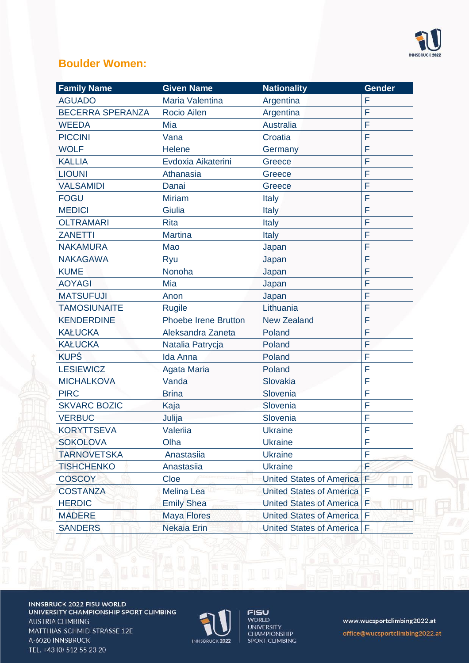

### **Boulder Women:**

| <b>Family Name</b>      | <b>Given Name</b>           | <b>Nationality</b>              | <b>Gender</b> |
|-------------------------|-----------------------------|---------------------------------|---------------|
| <b>AGUADO</b>           | <b>Maria Valentina</b>      | Argentina                       | F             |
| <b>BECERRA SPERANZA</b> | Rocio Ailen                 | Argentina                       | F             |
| <b>WEEDA</b>            | Mia                         | <b>Australia</b>                | F             |
| <b>PICCINI</b>          | Vana                        | Croatia                         | F             |
| <b>WOLF</b>             | <b>Helene</b>               | Germany                         | F             |
| <b>KALLIA</b>           | Evdoxia Aikaterini          | Greece                          | F             |
| <b>LIOUNI</b>           | Athanasia                   | Greece                          | F             |
| <b>VALSAMIDI</b>        | Danai                       | Greece                          | F             |
| <b>FOGU</b>             | <b>Miriam</b>               | Italy                           | F             |
| <b>MEDICI</b>           | Giulia                      | Italy                           | F             |
| <b>OLTRAMARI</b>        | <b>Rita</b>                 | Italy                           | F             |
| <b>ZANETTI</b>          | <b>Martina</b>              | Italy                           | F             |
| <b>NAKAMURA</b>         | Mao                         | Japan                           | F             |
| <b>NAKAGAWA</b>         | Ryu                         | Japan                           | F             |
| <b>KUME</b>             | Nonoha                      | Japan                           | F             |
| <b>AOYAGI</b>           | Mia                         | Japan                           | F             |
| <b>MATSUFUJI</b>        | Anon                        | Japan                           | F             |
| <b>TAMOSIUNAITE</b>     | <b>Rugile</b>               | Lithuania                       | F             |
| <b>KENDERDINE</b>       | <b>Phoebe Irene Brutton</b> | <b>New Zealand</b>              | F             |
| <b>KAŁUCKA</b>          | Aleksandra Zaneta           | Poland                          | F             |
| <b>KAŁUCKA</b>          | Natalia Patrycja            | Poland                          | F             |
| <b>KUPŚ</b>             | <b>Ida Anna</b>             | Poland                          | F             |
| <b>LESIEWICZ</b>        | <b>Agata Maria</b>          | Poland                          | F             |
| <b>MICHALKOVA</b>       | Vanda                       | Slovakia                        | F             |
| <b>PIRC</b>             | <b>Brina</b>                | Slovenia                        | F             |
| <b>SKVARC BOZIC</b>     | Kaja                        | Slovenia                        | F             |
| <b>VERBUC</b>           | Julija                      | Slovenia                        | F             |
| <b>KORYTTSEVA</b>       | Valeriia                    | <b>Ukraine</b>                  | F             |
| <b>SOKOLOVA</b>         | Olha                        | <b>Ukraine</b>                  | F             |
| <b>TARNOVETSKA</b>      | Anastasiia                  | <b>Ukraine</b>                  | F             |
| <b>TISHCHENKO</b>       | Anastasiia                  | <b>Ukraine</b>                  | F             |
| <b>COSCOY</b>           | Cloe                        | <b>United States of America</b> | F             |
| <b>COSTANZA</b>         | <b>Melina Lea</b>           | <b>United States of America</b> | F             |
| <b>HERDIC</b>           | <b>Emily Shea</b>           | <b>United States of America</b> | F             |
| <b>MADERE</b>           | <b>Maya Flores</b>          | <b>United States of America</b> | F             |
| <b>SANDERS</b>          | Nekaia Erin                 | <b>United States of America</b> | F             |

INNSBRUCK 2022 FISU WORLD UNIVERSITY CHAMPIONSHIP SPORT CLIMBING **AUSTRIA CLIMBING** MATTHIAS-SCHMID-STRASSE 12E A-6020 INNSBRUCK TEL. +43 (0) 512 55 23 20



**FISU PIBU<br>WORLD<br>UNIVERSITY<br>CHAMPIONSHIP<br>SPORT CLIMBING**